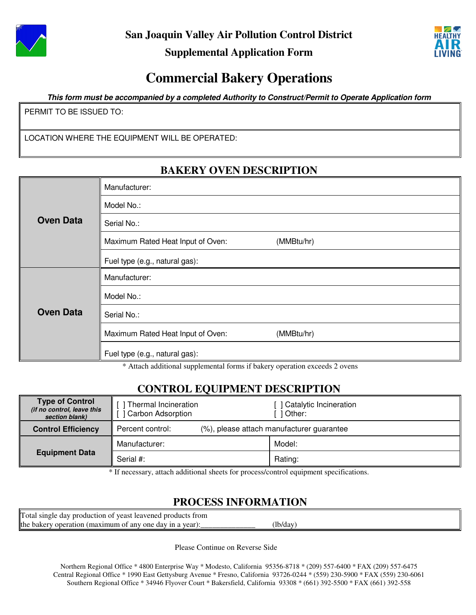

**Supplemental Application Form** 



# **Commercial Bakery Operations**

**This form must be accompanied by a completed Authority to Construct/Permit to Operate Application form**

PERMIT TO BE ISSUED TO:

LOCATION WHERE THE EQUIPMENT WILL BE OPERATED:

# **BAKERY OVEN DESCRIPTION**

|                  | Manufacturer:                     |            |
|------------------|-----------------------------------|------------|
| <b>Oven Data</b> | Model No.:                        |            |
|                  | Serial No.:                       |            |
|                  | Maximum Rated Heat Input of Oven: | (MMBtu/hr) |
|                  | Fuel type (e.g., natural gas):    |            |
| <b>Oven Data</b> | Manufacturer:                     |            |
|                  | Model No.:                        |            |
|                  | Serial No.:                       |            |
|                  | Maximum Rated Heat Input of Oven: | (MMBtu/hr) |
|                  | Fuel type (e.g., natural gas):    |            |

\* Attach additional supplemental forms if bakery operation exceeds 2 ovens

#### **CONTROL EQUIPMENT DESCRIPTION**

| <b>Type of Control</b><br>(if no control, leave this<br>section blank) | Thermal Incineration<br><b>Carbon Adsorption</b>              |  | J Catalytic Incineration<br>1 Other: |
|------------------------------------------------------------------------|---------------------------------------------------------------|--|--------------------------------------|
| <b>Control Efficiency</b>                                              | (%), please attach manufacturer guarantee<br>Percent control: |  |                                      |
| <b>Equipment Data</b>                                                  | Manufacturer:                                                 |  | Model:                               |
|                                                                        | Serial #:                                                     |  | Rating:                              |

\* If necessary, attach additional sheets for process/control equipment specifications.

## **PROCESS INFORMATION**

Total single day production of yeast leavened products from the bakery operation (maximum of any one day in a year): $\frac{1}{2}$  (lb/day)

Please Continue on Reverse Side

Northern Regional Office \* 4800 Enterprise Way \* Modesto, California 95356-8718 \* (209) 557-6400 \* FAX (209) 557-6475 Central Regional Office \* 1990 East Gettysburg Avenue \* Fresno, California 93726-0244 \* (559) 230-5900 \* FAX (559) 230-6061 Southern Regional Office \* 34946 Flyover Court \* Bakersfield, California 93308 \* (661) 392-5500 \* FAX (661) 392-558